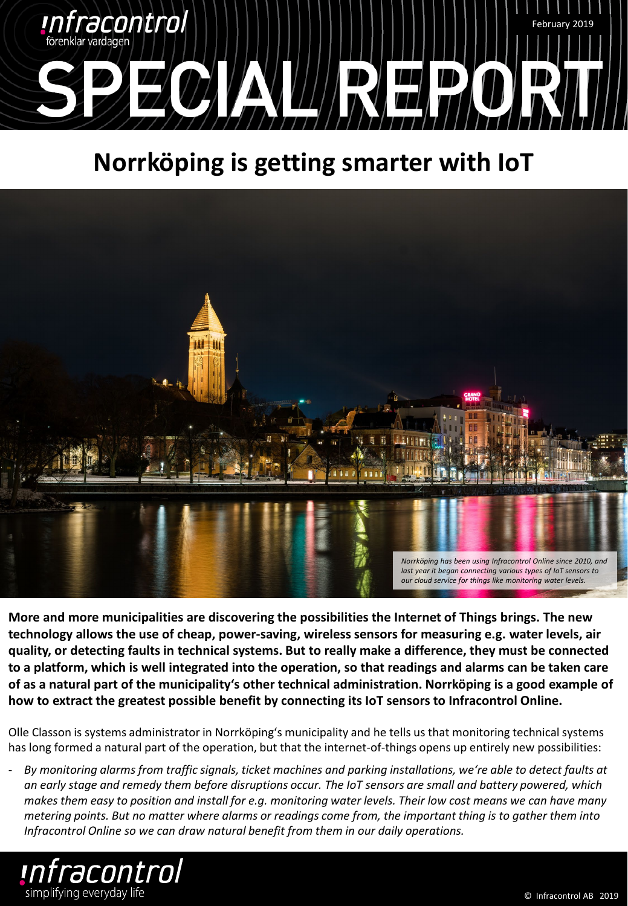

## **Norrköping is getting smarter with IoT**



**More and more municipalities are discovering the possibilities the Internet of Things brings. The new technology allows the use of cheap, power-saving, wireless sensors for measuring e.g. water levels, air quality, or detecting faults in technical systems. But to really make a difference, they must be connected to a platform, which is well integrated into the operation, so that readings and alarms can be taken care of as a natural part of the municipality's other technical administration. Norrköping is a good example of how to extract the greatest possible benefit by connecting its IoT sensors to Infracontrol Online.**

Olle Classon is systems administrator in Norrköping's municipality and he tells us that monitoring technical systems has long formed a natural part of the operation, but that the internet-of-things opens up entirely new possibilities:

- *By monitoring alarms from traffic signals, ticket machines and parking installations, we're able to detect faults at an early stage and remedy them before disruptions occur. The IoT sensors are small and battery powered, which makes them easy to position and install for e.g. monitoring water levels. Their low cost means we can have many metering points. But no matter where alarms or readings come from, the important thing is to gather them into Infracontrol Online so we can draw natural benefit from them in our daily operations.*